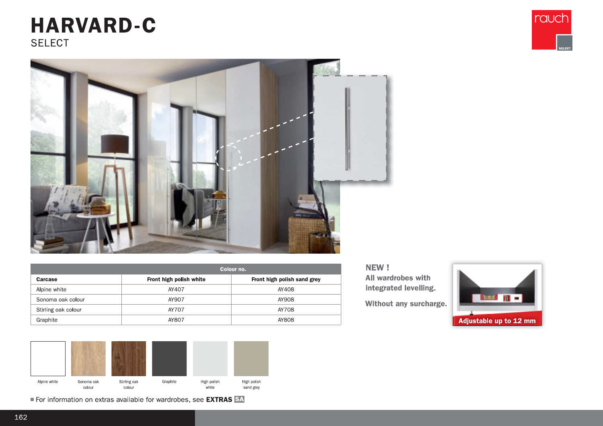## **HARVARD-C SELECT**





|                     | Colour no.              |                             |  |  |  |  |
|---------------------|-------------------------|-----------------------------|--|--|--|--|
| Carcase             | Front high polish white | Front high polish sand grey |  |  |  |  |
| Alpine white        | AY407                   | AY408                       |  |  |  |  |
| Sonoma oak colour   | AY907                   | AY908                       |  |  |  |  |
| Stirling oak colour | AY707                   | AY708                       |  |  |  |  |
| Graphite            | AY807                   | AY808                       |  |  |  |  |



For information on extras available for wardrobes, see EXTRAS SA

NEW! All wardrobes with integrated levelling.

Without any surcharge.

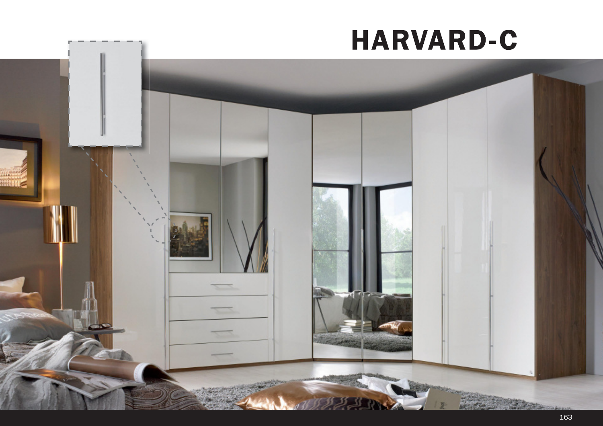## **HARVARD-C**

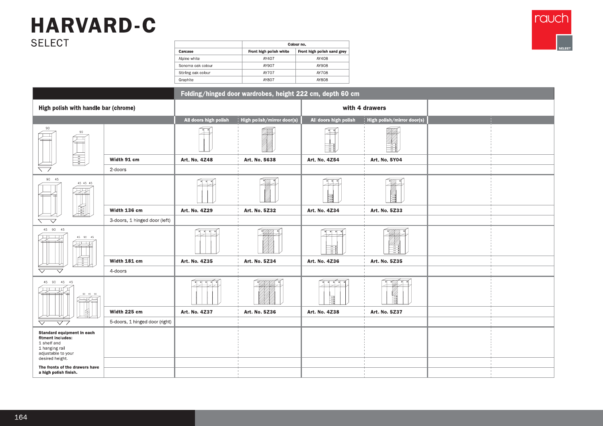## **HARVARD-C SELECT**



rauch

|                                                                                                                           |                                |                       | Folding/hinged door wardrobes, height 222 cm, depth 60 cm |                       |                            |  |
|---------------------------------------------------------------------------------------------------------------------------|--------------------------------|-----------------------|-----------------------------------------------------------|-----------------------|----------------------------|--|
| High polish with handle bar (chrome)                                                                                      |                                |                       |                                                           | with 4 drawers        |                            |  |
|                                                                                                                           |                                | All doors high polish | High polish/mirror door(s)                                | All doors high polish | High polish/mirror door(s) |  |
| 90<br>90                                                                                                                  |                                |                       |                                                           | Ξ                     |                            |  |
| ÷.                                                                                                                        | Width 91 cm                    | Art. No. 4Z48         | Art. No. 5638                                             | Art. No. 4254         | Art. No. 5Y04              |  |
|                                                                                                                           | 2-doors                        |                       |                                                           |                       |                            |  |
| 90 45<br>45 45 45                                                                                                         |                                |                       | *ØA.                                                      |                       |                            |  |
| 圓                                                                                                                         | Width 136 cm                   | Art. No. 4Z29         | Art. No. 5Z32                                             | Art. No. 4Z34         | Art. No. 5233              |  |
| $\overline{\vee}$                                                                                                         | 3-doors, 1 hinged door (left)  |                       |                                                           |                       |                            |  |
| 45 90 45<br>45 90 45                                                                                                      |                                |                       |                                                           |                       |                            |  |
| $\frac{1}{2}$                                                                                                             | Width 181 cm                   | Art. No. 4Z35         | Art. No. 5Z34                                             | Art. No. 4Z36         | Art. No. 5235              |  |
|                                                                                                                           | 4-doors                        |                       |                                                           |                       |                            |  |
| 45 90 45 45<br>90 45 90                                                                                                   |                                | 치 치 치                 |                                                           | 圃                     | 邕                          |  |
| 峊                                                                                                                         | Width 225 cm                   | Art. No. 4Z37         | Art. No. 5236                                             | Art. No. 4Z38         | Art. No. 5237              |  |
| $\triangledown$ 7<br>$\bigtriangledown$                                                                                   | 5-doors, 1 hinged door (right) |                       |                                                           |                       |                            |  |
| Standard equipment in each<br>fitment includes:<br>1 shelf and<br>1 hanging rail<br>adjustable to your<br>desired height. |                                |                       |                                                           |                       |                            |  |
| The fronts of the drawers have<br>a high polish finish.                                                                   |                                |                       |                                                           |                       |                            |  |